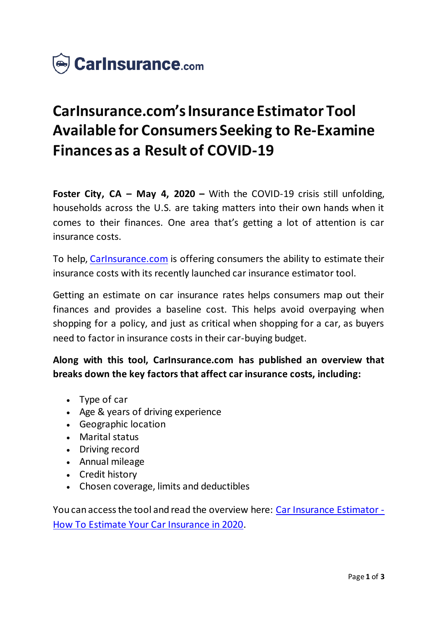

# **CarInsurance.com's Insurance Estimator Tool Available for Consumers Seeking to Re-Examine Finances as a Result of COVID-19**

**Foster City, CA – May 4, 2020 –** With the COVID-19 crisis still unfolding, households across the U.S. are taking matters into their own hands when it comes to their finances. One area that's getting a lot of attention is car insurance costs.

To help, [CarInsurance.com](https://www.carinsurance.com/) is offering consumers the ability to estimate their insurance costs with its recently launched car insurance estimator tool.

Getting an estimate on car insurance rates helps consumers map out their finances and provides a baseline cost. This helps avoid overpaying when shopping for a policy, and just as critical when shopping for a car, as buyers need to factor in insurance costs in their car-buying budget.

**Along with this tool, CarInsurance.com has published an overview that breaks down the key factors that affect car insurance costs, including:**

- Type of car
- Age & years of driving experience
- Geographic location
- Marital status
- Driving record
- Annual mileage
- Credit history
- Chosen coverage, limits and deductibles

You can access the tool and read the overview here: [Car Insurance Estimator -](https://www.carinsurance.com/car-insurance-estimator.aspx) [How To Estimate Your Car Insurance in 2020](https://www.carinsurance.com/car-insurance-estimator.aspx).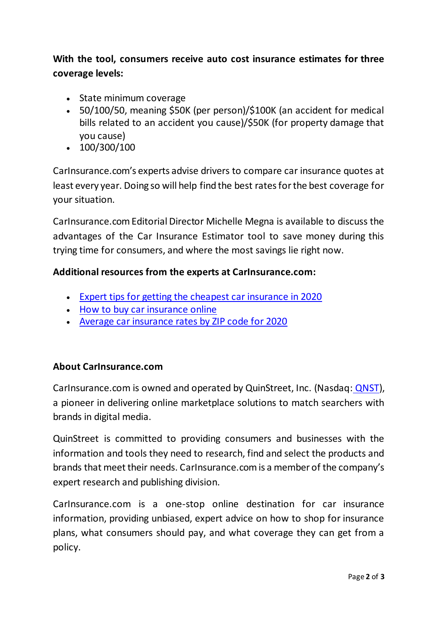## **With the tool, consumers receive auto cost insurance estimates for three coverage levels:**

- State minimum coverage
- 50/100/50, meaning \$50K (per person)/\$100K (an accident for medical bills related to an accident you cause)/\$50K (for property damage that you cause)
- $\cdot$  100/300/100

CarInsurance.com's experts advise drivers to compare car insurance quotes at least every year. Doing so will help find the best rates for the best coverage for your situation.

CarInsurance.com Editorial Director Michelle Megna is available to discuss the advantages of the Car Insurance Estimator tool to save money during this trying time for consumers, and where the most savings lie right now.

#### **Additional resources from the experts at CarInsurance.com:**

- [Expert tips for getting the cheapest car insurance in 2020](https://www.carinsurance.com/cheapest-car-insurance.aspx)
- [How to buy car insurance online](https://www.carinsurance.com/Articles/buy-car-insurance-online.aspx)
- [Average car insurance rates by ZIP code for 2020](https://www.carinsurance.com/calculators/average-car-insurance-rates.aspx)

#### **About CarInsurance.com**

CarInsurance.com is owned and operated by QuinStreet, Inc. (Nasdaq: [QNST\)](https://www.nasdaq.com/symbol/qnst), a pioneer in delivering online marketplace solutions to match searchers with brands in digital media.

QuinStreet is committed to providing consumers and businesses with the information and tools they need to research, find and select the products and brands that meet their needs. CarInsurance.com is a member of the company's expert research and publishing division.

CarInsurance.com is a one-stop online destination for car insurance information, providing unbiased, expert advice on how to shop for insurance plans, what consumers should pay, and what coverage they can get from a policy.